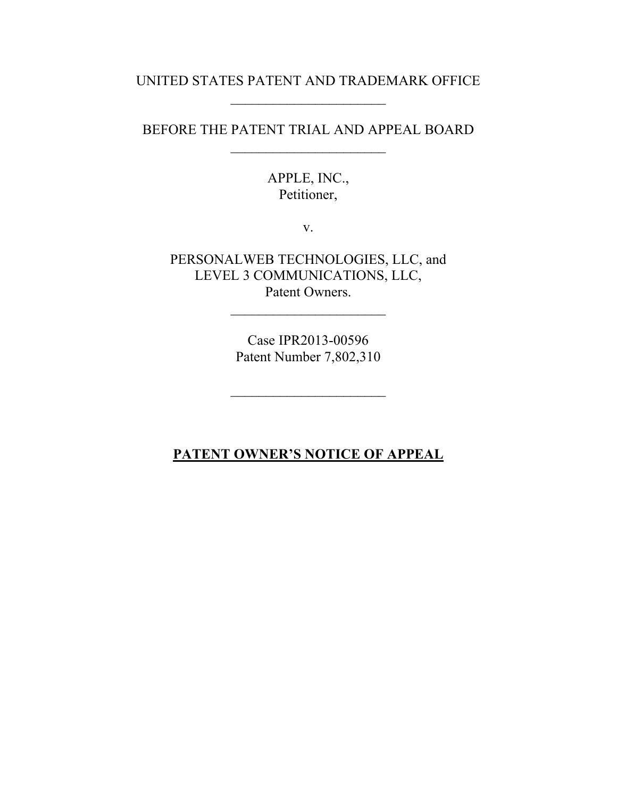## UNITED STATES PATENT AND TRADEMARK OFFICE

BEFORE THE PATENT TRIAL AND APPEAL BOARD  $\overline{\phantom{a}}$  , where  $\overline{\phantom{a}}$ 

> APPLE, INC., Petitioner,

> > v.

PERSONALWEB TECHNOLOGIES, LLC, and LEVEL 3 COMMUNICATIONS, LLC, Patent Owners.

> Case IPR2013-00596 Patent Number 7,802,310

 $\overline{\phantom{a}}$  , where  $\overline{\phantom{a}}$ 

## **PATENT OWNER'S NOTICE OF APPEAL**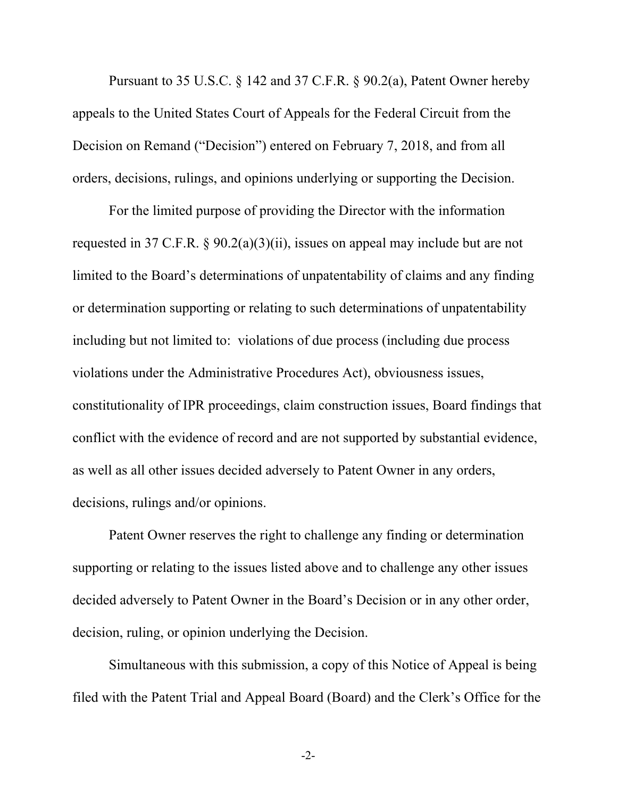Pursuant to 35 U.S.C. § 142 and 37 C.F.R. § 90.2(a), Patent Owner hereby appeals to the United States Court of Appeals for the Federal Circuit from the Decision on Remand ("Decision") entered on February 7, 2018, and from all orders, decisions, rulings, and opinions underlying or supporting the Decision.

For the limited purpose of providing the Director with the information requested in 37 C.F.R. § 90.2(a)(3)(ii), issues on appeal may include but are not limited to the Board's determinations of unpatentability of claims and any finding or determination supporting or relating to such determinations of unpatentability including but not limited to: violations of due process (including due process violations under the Administrative Procedures Act), obviousness issues, constitutionality of IPR proceedings, claim construction issues, Board findings that conflict with the evidence of record and are not supported by substantial evidence, as well as all other issues decided adversely to Patent Owner in any orders, decisions, rulings and/or opinions.

Patent Owner reserves the right to challenge any finding or determination supporting or relating to the issues listed above and to challenge any other issues decided adversely to Patent Owner in the Board's Decision or in any other order, decision, ruling, or opinion underlying the Decision.

Simultaneous with this submission, a copy of this Notice of Appeal is being filed with the Patent Trial and Appeal Board (Board) and the Clerk's Office for the

 $-2$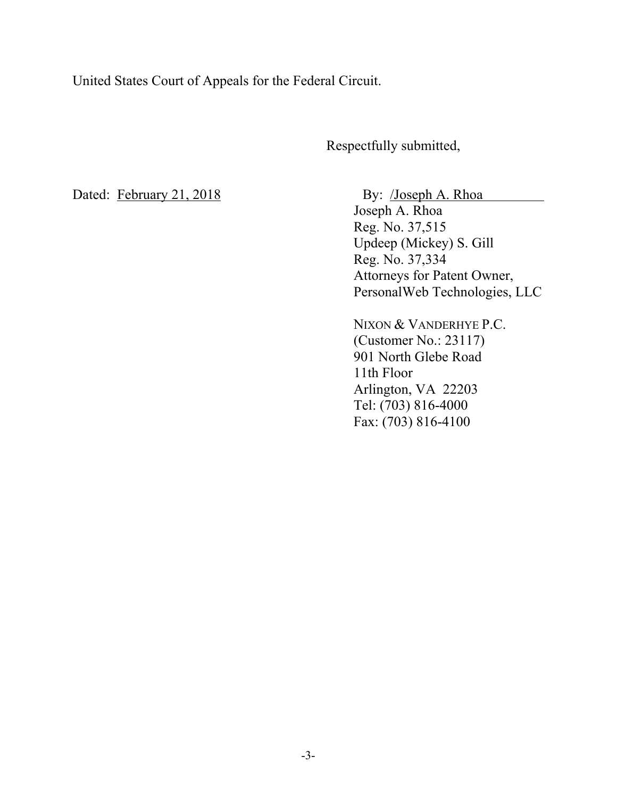United States Court of Appeals for the Federal Circuit.

Respectfully submitted,

Dated: February 21, 2018 By: /Joseph A. Rhoa Joseph A. Rhoa Reg. No. 37,515 Updeep (Mickey) S. Gill Reg. No. 37,334 Attorneys for Patent Owner, PersonalWeb Technologies, LLC

> NIXON & VANDERHYE P.C. (Customer No.: 23117) 901 North Glebe Road 11th Floor Arlington, VA 22203 Tel: (703) 816-4000 Fax: (703) 816-4100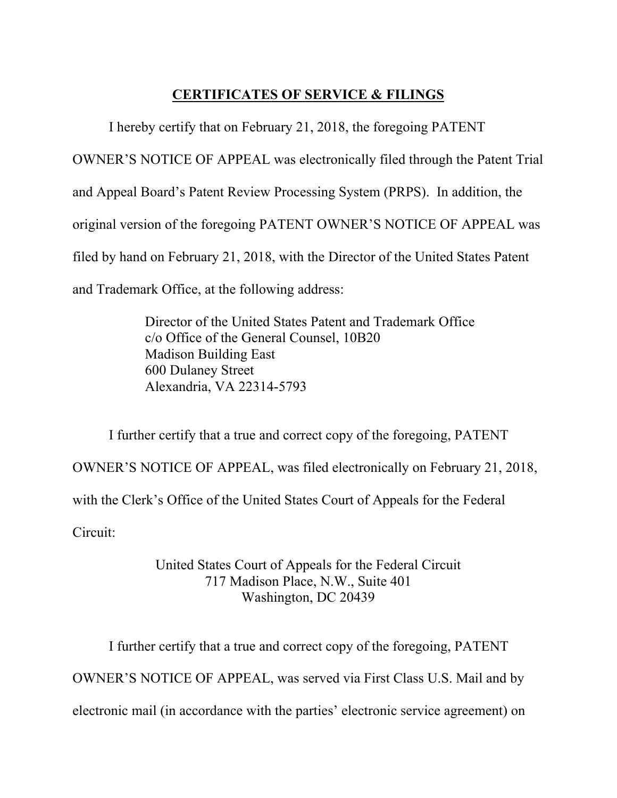## **CERTIFICATES OF SERVICE & FILINGS**

 I hereby certify that on February 21, 2018, the foregoing PATENT OWNER'S NOTICE OF APPEAL was electronically filed through the Patent Trial and Appeal Board's Patent Review Processing System (PRPS). In addition, the original version of the foregoing PATENT OWNER'S NOTICE OF APPEAL was filed by hand on February 21, 2018, with the Director of the United States Patent and Trademark Office, at the following address:

> Director of the United States Patent and Trademark Office c/o Office of the General Counsel, 10B20 Madison Building East 600 Dulaney Street Alexandria, VA 22314-5793

I further certify that a true and correct copy of the foregoing, PATENT OWNER'S NOTICE OF APPEAL, was filed electronically on February 21, 2018, with the Clerk's Office of the United States Court of Appeals for the Federal Circuit:

> United States Court of Appeals for the Federal Circuit 717 Madison Place, N.W., Suite 401 Washington, DC 20439

I further certify that a true and correct copy of the foregoing, PATENT OWNER'S NOTICE OF APPEAL, was served via First Class U.S. Mail and by electronic mail (in accordance with the parties' electronic service agreement) on